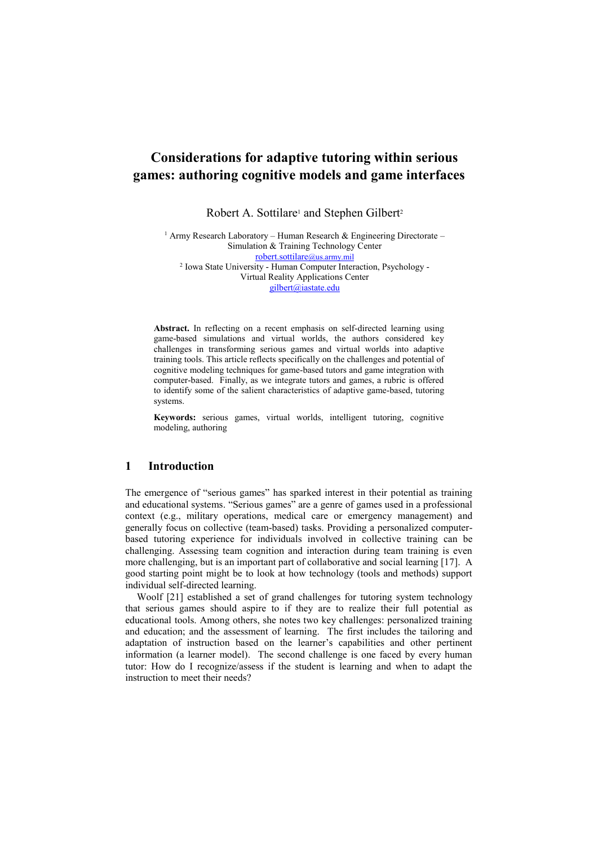# **Considerations for adaptive tutoring within serious games: authoring cognitive models and game interfaces**

Robert A. Sottilare<sup>1</sup> and Stephen Gilbert<sup>2</sup>

<sup>1</sup> Army Research Laboratory – Human Research & Engineering Directorate – Simulation & Training Technology Center [robert.sottilare](mailto:robert.sottilare@us.army.mil)@us.army.mil 2 Iowa State University - Human Computer Interaction, Psychology - Virtual Reality Applications Center [gilbert@iastate.edu](mailto:gilbert@iastate.edu)

**Abstract.** In reflecting on a recent emphasis on self-directed learning using game-based simulations and virtual worlds, the authors considered key challenges in transforming serious games and virtual worlds into adaptive training tools. This article reflects specifically on the challenges and potential of cognitive modeling techniques for game-based tutors and game integration with computer-based. Finally, as we integrate tutors and games, a rubric is offered to identify some of the salient characteristics of adaptive game-based, tutoring systems.

**Keywords:** serious games, virtual worlds, intelligent tutoring, cognitive modeling, authoring

### **1 Introduction**

The emergence of "serious games" has sparked interest in their potential as training and educational systems. "Serious games" are a genre of games used in a professional context (e.g., military operations, medical care or emergency management) and generally focus on collective (team-based) tasks. Providing a personalized computerbased tutoring experience for individuals involved in collective training can be challenging. Assessing team cognition and interaction during team training is even more challenging, but is an important part of collaborative and social learning [17]. A good starting point might be to look at how technology (tools and methods) support individual self-directed learning.

Woolf [21] established a set of grand challenges for tutoring system technology that serious games should aspire to if they are to realize their full potential as educational tools. Among others, she notes two key challenges: personalized training and education; and the assessment of learning. The first includes the tailoring and adaptation of instruction based on the learner's capabilities and other pertinent information (a learner model). The second challenge is one faced by every human tutor: How do I recognize/assess if the student is learning and when to adapt the instruction to meet their needs?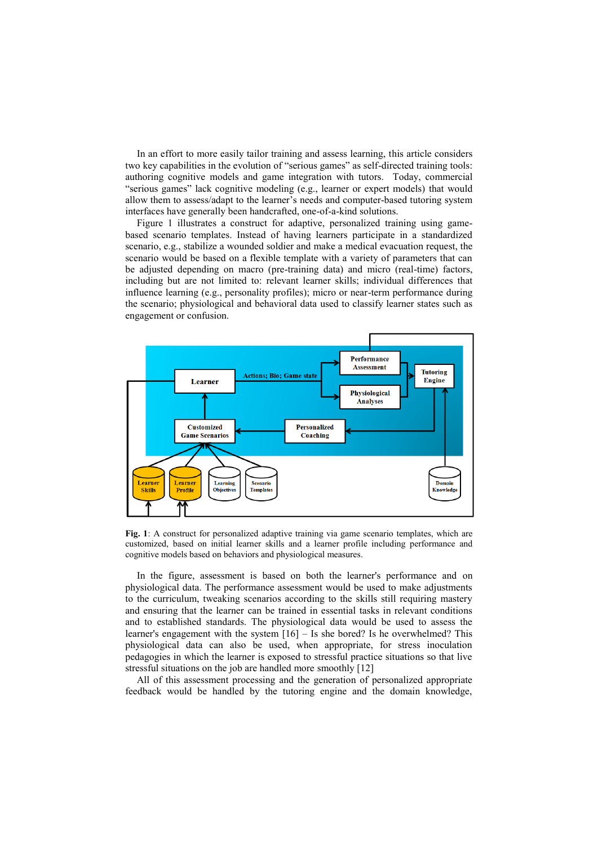In an effort to more easily tailor training and assess learning, this article considers two key capabilities in the evolution of "serious games" as self-directed training tools: authoring cognitive models and game integration with tutors. Today, commercial "serious games" lack cognitive modeling (e.g., learner or expert models) that would allow them to assess/adapt to the learner's needs and computer-based tutoring system interfaces have generally been handcrafted, one-of-a-kind solutions.

Figure 1 illustrates a construct for adaptive, personalized training using gamebased scenario templates. Instead of having learners participate in a standardized scenario, e.g., stabilize a wounded soldier and make a medical evacuation request, the scenario would be based on a flexible template with a variety of parameters that can be adjusted depending on macro (pre-training data) and micro (real-time) factors, including but are not limited to: relevant learner skills; individual differences that influence learning (e.g., personality profiles); micro or near-term performance during the scenario; physiological and behavioral data used to classify learner states such as engagement or confusion.



**Fig. 1**: A construct for personalized adaptive training via game scenario templates, which are customized, based on initial learner skills and a learner profile including performance and cognitive models based on behaviors and physiological measures.

In the figure, assessment is based on both the learner's performance and on physiological data. The performance assessment would be used to make adjustments to the curriculum, tweaking scenarios according to the skills still requiring mastery and ensuring that the learner can be trained in essential tasks in relevant conditions and to established standards. The physiological data would be used to assess the learner's engagement with the system [16] – Is she bored? Is he overwhelmed? This physiological data can also be used, when appropriate, for stress inoculation pedagogies in which the learner is exposed to stressful practice situations so that live stressful situations on the job are handled more smoothly [12]

All of this assessment processing and the generation of personalized appropriate feedback would be handled by the tutoring engine and the domain knowledge,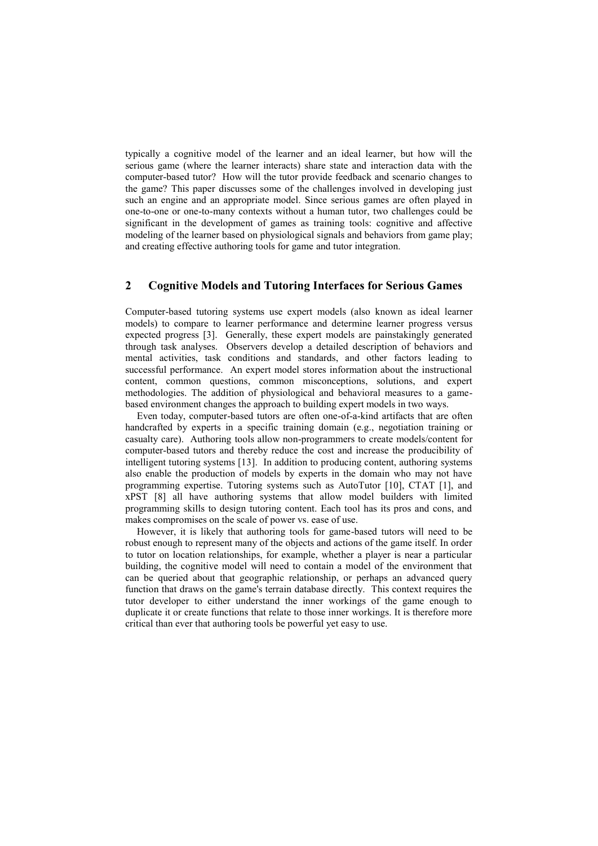typically a cognitive model of the learner and an ideal learner, but how will the serious game (where the learner interacts) share state and interaction data with the computer-based tutor? How will the tutor provide feedback and scenario changes to the game? This paper discusses some of the challenges involved in developing just such an engine and an appropriate model. Since serious games are often played in one-to-one or one-to-many contexts without a human tutor, two challenges could be significant in the development of games as training tools: cognitive and affective modeling of the learner based on physiological signals and behaviors from game play; and creating effective authoring tools for game and tutor integration.

# **2 Cognitive Models and Tutoring Interfaces for Serious Games**

Computer-based tutoring systems use expert models (also known as ideal learner models) to compare to learner performance and determine learner progress versus expected progress [3]. Generally, these expert models are painstakingly generated through task analyses. Observers develop a detailed description of behaviors and mental activities, task conditions and standards, and other factors leading to successful performance. An expert model stores information about the instructional content, common questions, common misconceptions, solutions, and expert methodologies. The addition of physiological and behavioral measures to a gamebased environment changes the approach to building expert models in two ways.

Even today, computer-based tutors are often one-of-a-kind artifacts that are often handcrafted by experts in a specific training domain (e.g., negotiation training or casualty care). Authoring tools allow non-programmers to create models/content for computer-based tutors and thereby reduce the cost and increase the producibility of intelligent tutoring systems [13]. In addition to producing content, authoring systems also enable the production of models by experts in the domain who may not have programming expertise. Tutoring systems such as AutoTutor [10], CTAT [1], and xPST [8] all have authoring systems that allow model builders with limited programming skills to design tutoring content. Each tool has its pros and cons, and makes compromises on the scale of power vs. ease of use.

However, it is likely that authoring tools for game-based tutors will need to be robust enough to represent many of the objects and actions of the game itself. In order to tutor on location relationships, for example, whether a player is near a particular building, the cognitive model will need to contain a model of the environment that can be queried about that geographic relationship, or perhaps an advanced query function that draws on the game's terrain database directly. This context requires the tutor developer to either understand the inner workings of the game enough to duplicate it or create functions that relate to those inner workings. It is therefore more critical than ever that authoring tools be powerful yet easy to use.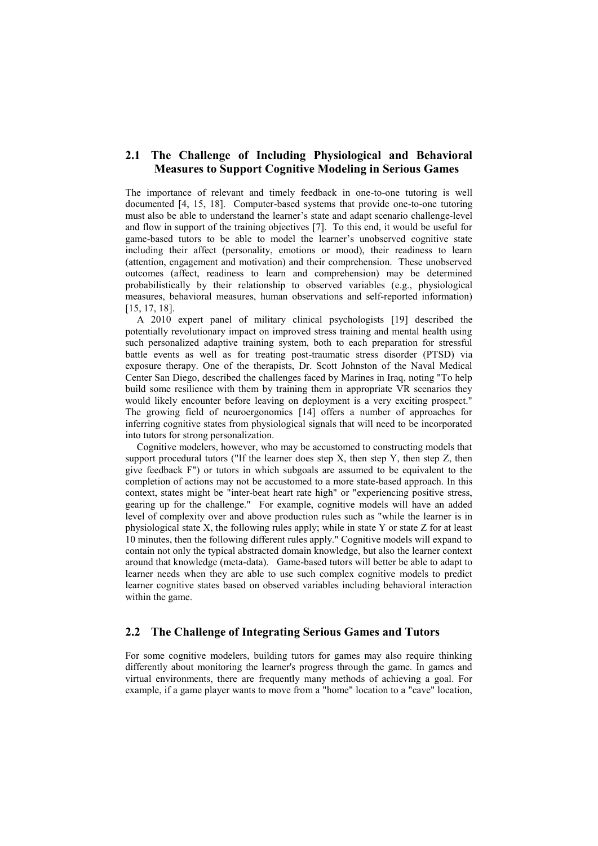# **2.1 The Challenge of Including Physiological and Behavioral Measures to Support Cognitive Modeling in Serious Games**

The importance of relevant and timely feedback in one-to-one tutoring is well documented [4, 15, 18]. Computer-based systems that provide one-to-one tutoring must also be able to understand the learner's state and adapt scenario challenge-level and flow in support of the training objectives [7]. To this end, it would be useful for game-based tutors to be able to model the learner's unobserved cognitive state including their affect (personality, emotions or mood), their readiness to learn (attention, engagement and motivation) and their comprehension. These unobserved outcomes (affect, readiness to learn and comprehension) may be determined probabilistically by their relationship to observed variables (e.g., physiological measures, behavioral measures, human observations and self-reported information) [15, 17, 18].

A 2010 expert panel of military clinical psychologists [19] described the potentially revolutionary impact on improved stress training and mental health using such personalized adaptive training system, both to each preparation for stressful battle events as well as for treating post-traumatic stress disorder (PTSD) via exposure therapy. One of the therapists, Dr. Scott Johnston of the Naval Medical Center San Diego, described the challenges faced by Marines in Iraq, noting "To help build some resilience with them by training them in appropriate VR scenarios they would likely encounter before leaving on deployment is a very exciting prospect." The growing field of neuroergonomics [14] offers a number of approaches for inferring cognitive states from physiological signals that will need to be incorporated into tutors for strong personalization.

Cognitive modelers, however, who may be accustomed to constructing models that support procedural tutors ("If the learner does step  $X$ , then step  $Y$ , then step  $Z$ , then give feedback F") or tutors in which subgoals are assumed to be equivalent to the completion of actions may not be accustomed to a more state-based approach. In this context, states might be "inter-beat heart rate high" or "experiencing positive stress, gearing up for the challenge." For example, cognitive models will have an added level of complexity over and above production rules such as "while the learner is in physiological state X, the following rules apply; while in state Y or state Z for at least 10 minutes, then the following different rules apply." Cognitive models will expand to contain not only the typical abstracted domain knowledge, but also the learner context around that knowledge (meta-data). Game-based tutors will better be able to adapt to learner needs when they are able to use such complex cognitive models to predict learner cognitive states based on observed variables including behavioral interaction within the game.

## **2.2 The Challenge of Integrating Serious Games and Tutors**

For some cognitive modelers, building tutors for games may also require thinking differently about monitoring the learner's progress through the game. In games and virtual environments, there are frequently many methods of achieving a goal. For example, if a game player wants to move from a "home" location to a "cave" location,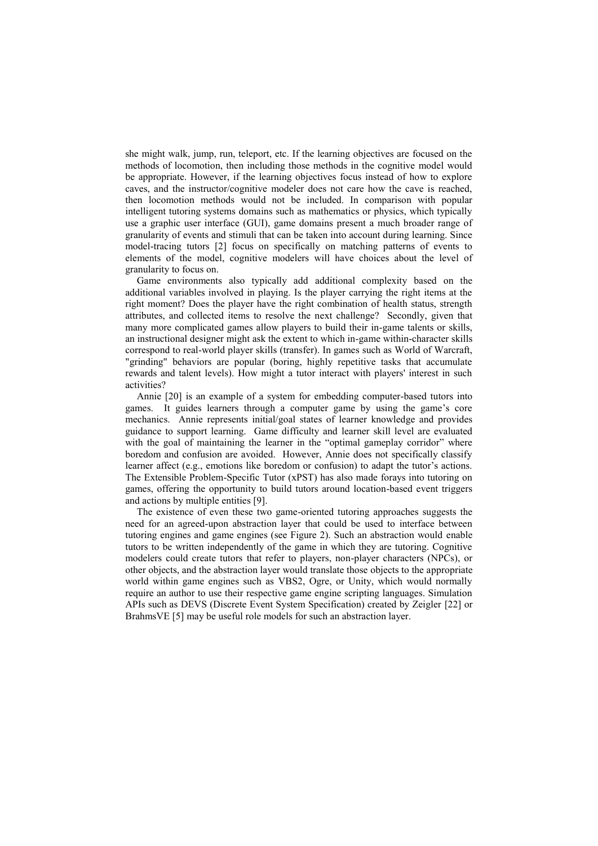she might walk, jump, run, teleport, etc. If the learning objectives are focused on the methods of locomotion, then including those methods in the cognitive model would be appropriate. However, if the learning objectives focus instead of how to explore caves, and the instructor/cognitive modeler does not care how the cave is reached, then locomotion methods would not be included. In comparison with popular intelligent tutoring systems domains such as mathematics or physics, which typically use a graphic user interface (GUI), game domains present a much broader range of granularity of events and stimuli that can be taken into account during learning. Since model-tracing tutors [2] focus on specifically on matching patterns of events to elements of the model, cognitive modelers will have choices about the level of granularity to focus on.

Game environments also typically add additional complexity based on the additional variables involved in playing. Is the player carrying the right items at the right moment? Does the player have the right combination of health status, strength attributes, and collected items to resolve the next challenge? Secondly, given that many more complicated games allow players to build their in-game talents or skills, an instructional designer might ask the extent to which in-game within-character skills correspond to real-world player skills (transfer). In games such as World of Warcraft, "grinding" behaviors are popular (boring, highly repetitive tasks that accumulate rewards and talent levels). How might a tutor interact with players' interest in such activities?

Annie [20] is an example of a system for embedding computer-based tutors into games. It guides learners through a computer game by using the game's core mechanics. Annie represents initial/goal states of learner knowledge and provides guidance to support learning. Game difficulty and learner skill level are evaluated with the goal of maintaining the learner in the "optimal gameplay corridor" where boredom and confusion are avoided. However, Annie does not specifically classify learner affect (e.g., emotions like boredom or confusion) to adapt the tutor's actions. The Extensible Problem-Specific Tutor (xPST) has also made forays into tutoring on games, offering the opportunity to build tutors around location-based event triggers and actions by multiple entities [9].

The existence of even these two game-oriented tutoring approaches suggests the need for an agreed-upon abstraction layer that could be used to interface between tutoring engines and game engines (see Figure 2). Such an abstraction would enable tutors to be written independently of the game in which they are tutoring. Cognitive modelers could create tutors that refer to players, non-player characters (NPCs), or other objects, and the abstraction layer would translate those objects to the appropriate world within game engines such as VBS2, Ogre, or Unity, which would normally require an author to use their respective game engine scripting languages. Simulation APIs such as DEVS (Discrete Event System Specification) created by Zeigler [22] or BrahmsVE [5] may be useful role models for such an abstraction layer.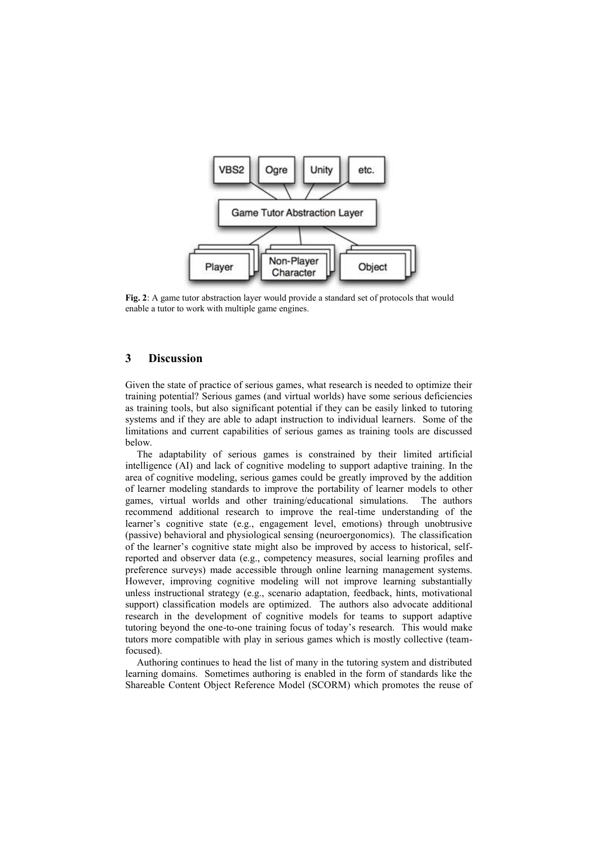

**Fig. 2**: A game tutor abstraction layer would provide a standard set of protocols that would enable a tutor to work with multiple game engines.

# **3 Discussion**

Given the state of practice of serious games, what research is needed to optimize their training potential? Serious games (and virtual worlds) have some serious deficiencies as training tools, but also significant potential if they can be easily linked to tutoring systems and if they are able to adapt instruction to individual learners. Some of the limitations and current capabilities of serious games as training tools are discussed below.

The adaptability of serious games is constrained by their limited artificial intelligence (AI) and lack of cognitive modeling to support adaptive training. In the area of cognitive modeling, serious games could be greatly improved by the addition of learner modeling standards to improve the portability of learner models to other games, virtual worlds and other training/educational simulations. The authors recommend additional research to improve the real-time understanding of the learner's cognitive state (e.g., engagement level, emotions) through unobtrusive (passive) behavioral and physiological sensing (neuroergonomics). The classification of the learner's cognitive state might also be improved by access to historical, selfreported and observer data (e.g., competency measures, social learning profiles and preference surveys) made accessible through online learning management systems. However, improving cognitive modeling will not improve learning substantially unless instructional strategy (e.g., scenario adaptation, feedback, hints, motivational support) classification models are optimized. The authors also advocate additional research in the development of cognitive models for teams to support adaptive tutoring beyond the one-to-one training focus of today's research. This would make tutors more compatible with play in serious games which is mostly collective (teamfocused).

Authoring continues to head the list of many in the tutoring system and distributed learning domains. Sometimes authoring is enabled in the form of standards like the Shareable Content Object Reference Model (SCORM) which promotes the reuse of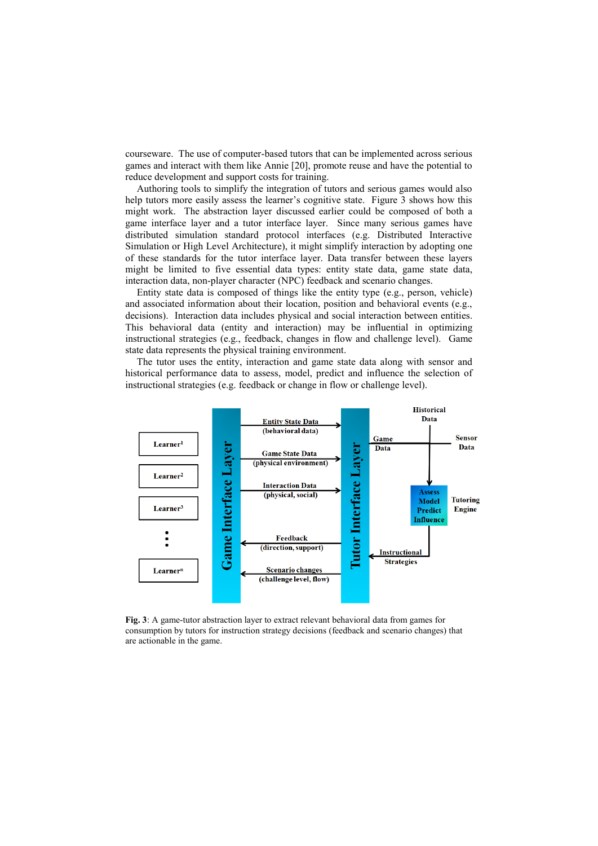courseware. The use of computer-based tutors that can be implemented across serious games and interact with them like Annie [20], promote reuse and have the potential to reduce development and support costs for training.

Authoring tools to simplify the integration of tutors and serious games would also help tutors more easily assess the learner's cognitive state. Figure 3 shows how this might work. The abstraction layer discussed earlier could be composed of both a game interface layer and a tutor interface layer. Since many serious games have distributed simulation standard protocol interfaces (e.g. Distributed Interactive Simulation or High Level Architecture), it might simplify interaction by adopting one of these standards for the tutor interface layer. Data transfer between these layers might be limited to five essential data types: entity state data, game state data, interaction data, non-player character (NPC) feedback and scenario changes.

Entity state data is composed of things like the entity type (e.g., person, vehicle) and associated information about their location, position and behavioral events (e.g., decisions). Interaction data includes physical and social interaction between entities. This behavioral data (entity and interaction) may be influential in optimizing instructional strategies (e.g., feedback, changes in flow and challenge level). Game state data represents the physical training environment.

The tutor uses the entity, interaction and game state data along with sensor and historical performance data to assess, model, predict and influence the selection of instructional strategies (e.g. feedback or change in flow or challenge level).



**Fig. 3**: A game-tutor abstraction layer to extract relevant behavioral data from games for consumption by tutors for instruction strategy decisions (feedback and scenario changes) that are actionable in the game.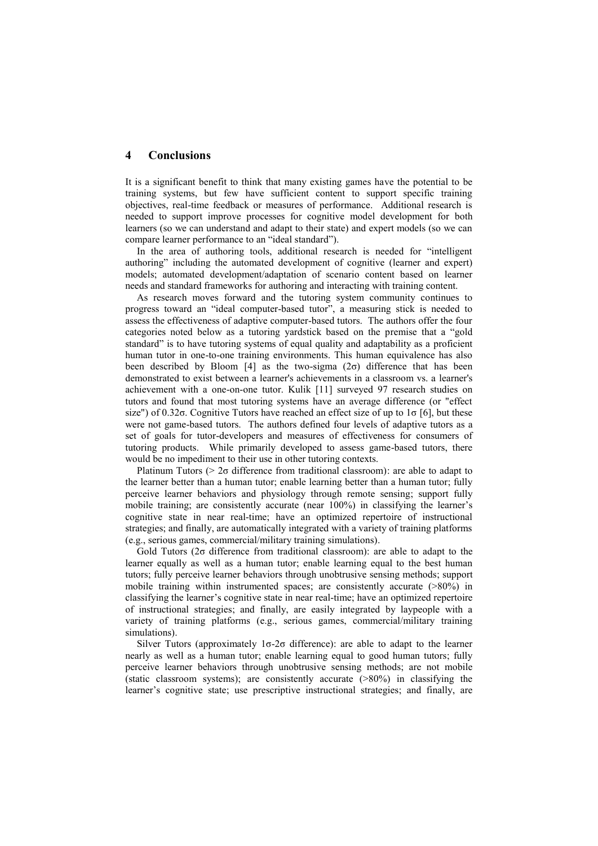#### **4 Conclusions**

It is a significant benefit to think that many existing games have the potential to be training systems, but few have sufficient content to support specific training objectives, real-time feedback or measures of performance. Additional research is needed to support improve processes for cognitive model development for both learners (so we can understand and adapt to their state) and expert models (so we can compare learner performance to an "ideal standard").

In the area of authoring tools, additional research is needed for "intelligent authoring" including the automated development of cognitive (learner and expert) models; automated development/adaptation of scenario content based on learner needs and standard frameworks for authoring and interacting with training content.

As research moves forward and the tutoring system community continues to progress toward an "ideal computer-based tutor", a measuring stick is needed to assess the effectiveness of adaptive computer-based tutors. The authors offer the four categories noted below as a tutoring yardstick based on the premise that a "gold standard" is to have tutoring systems of equal quality and adaptability as a proficient human tutor in one-to-one training environments. This human equivalence has also been described by Bloom [4] as the two-sigma  $(2\sigma)$  difference that has been demonstrated to exist between a learner's achievements in a classroom vs. a learner's achievement with a one-on-one tutor. Kulik [11] surveyed 97 research studies on tutors and found that most tutoring systems have an average difference (or "effect size") of 0.32 $\sigma$ . Cognitive Tutors have reached an effect size of up to  $1\sigma$  [6], but these were not game-based tutors. The authors defined four levels of adaptive tutors as a set of goals for tutor-developers and measures of effectiveness for consumers of tutoring products. While primarily developed to assess game-based tutors, there would be no impediment to their use in other tutoring contexts.

Platinum Tutors ( $> 2\sigma$  difference from traditional classroom): are able to adapt to the learner better than a human tutor; enable learning better than a human tutor; fully perceive learner behaviors and physiology through remote sensing; support fully mobile training; are consistently accurate (near 100%) in classifying the learner's cognitive state in near real-time; have an optimized repertoire of instructional strategies; and finally, are automatically integrated with a variety of training platforms (e.g., serious games, commercial/military training simulations).

Gold Tutors (2σ difference from traditional classroom): are able to adapt to the learner equally as well as a human tutor; enable learning equal to the best human tutors; fully perceive learner behaviors through unobtrusive sensing methods; support mobile training within instrumented spaces; are consistently accurate (>80%) in classifying the learner's cognitive state in near real-time; have an optimized repertoire of instructional strategies; and finally, are easily integrated by laypeople with a variety of training platforms (e.g., serious games, commercial/military training simulations).

Silver Tutors (approximately  $1\sigma$ -2 $\sigma$  difference): are able to adapt to the learner nearly as well as a human tutor; enable learning equal to good human tutors; fully perceive learner behaviors through unobtrusive sensing methods; are not mobile (static classroom systems); are consistently accurate (>80%) in classifying the learner's cognitive state; use prescriptive instructional strategies; and finally, are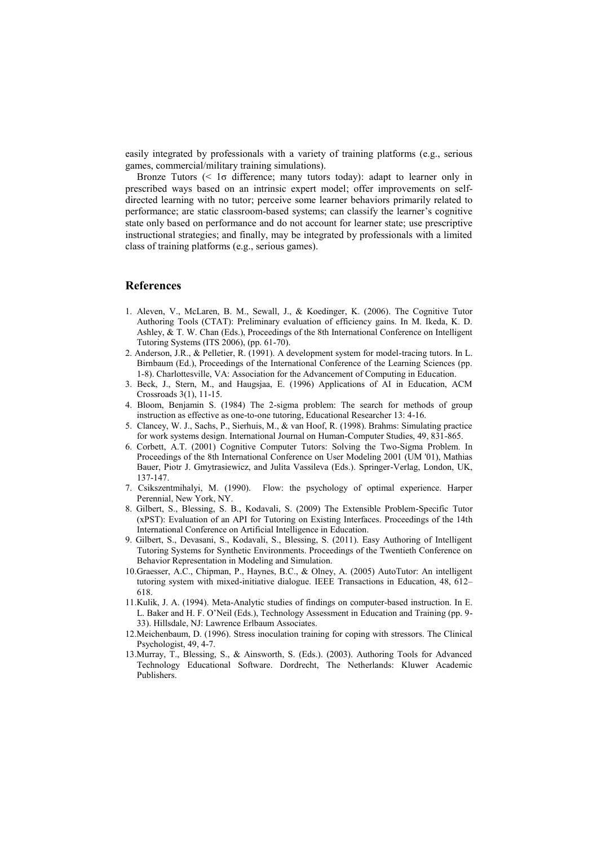easily integrated by professionals with a variety of training platforms (e.g., serious games, commercial/military training simulations).

Bronze Tutors (< 1σ difference; many tutors today): adapt to learner only in prescribed ways based on an intrinsic expert model; offer improvements on selfdirected learning with no tutor; perceive some learner behaviors primarily related to performance; are static classroom-based systems; can classify the learner's cognitive state only based on performance and do not account for learner state; use prescriptive instructional strategies; and finally, may be integrated by professionals with a limited class of training platforms (e.g., serious games).

#### **References**

- 1. Aleven, V., McLaren, B. M., Sewall, J., & Koedinger, K. (2006). The Cognitive Tutor Authoring Tools (CTAT): Preliminary evaluation of efficiency gains. In M. Ikeda, K. D. Ashley, & T. W. Chan (Eds.), Proceedings of the 8th International Conference on Intelligent Tutoring Systems (ITS 2006), (pp. 61-70).
- 2. Anderson, J.R., & Pelletier, R. (1991). A development system for model-tracing tutors. In L. Birnbaum (Ed.), Proceedings of the International Conference of the Learning Sciences (pp. 1-8). Charlottesville, VA: Association for the Advancement of Computing in Education.
- 3. Beck, J., Stern, M., and Haugsjaa, E. (1996) Applications of AI in Education, ACM Crossroads 3(1), 11-15.
- 4. Bloom, Benjamin S. (1984) The 2-sigma problem: The search for methods of group instruction as effective as one-to-one tutoring, Educational Researcher 13: 4-16.
- 5. Clancey, W. J., Sachs, P., Sierhuis, M., & van Hoof, R. (1998). Brahms: Simulating practice for work systems design. International Journal on Human-Computer Studies, 49, 831-865.
- 6. Corbett, A.T. (2001) Cognitive Computer Tutors: Solving the Two-Sigma Problem. In Proceedings of the 8th International Conference on User Modeling 2001 (UM '01), Mathias Bauer, Piotr J. Gmytrasiewicz, and Julita Vassileva (Eds.). Springer-Verlag, London, UK, 137-147.
- 7. Csikszentmihalyi, M. (1990). Flow: the psychology of optimal experience. Harper Perennial, New York, NY.
- 8. Gilbert, S., Blessing, S. B., Kodavali, S. (2009) The Extensible Problem-Specific Tutor (xPST): Evaluation of an API for Tutoring on Existing Interfaces. Proceedings of the 14th International Conference on Artificial Intelligence in Education.
- 9. Gilbert, S., Devasani, S., Kodavali, S., Blessing, S. (2011). Easy Authoring of Intelligent Tutoring Systems for Synthetic Environments. Proceedings of the Twentieth Conference on Behavior Representation in Modeling and Simulation.
- 10.Graesser, A.C., Chipman, P., Haynes, B.C., & Olney, A. (2005) AutoTutor: An intelligent tutoring system with mixed-initiative dialogue. IEEE Transactions in Education, 48, 612– 618.
- 11.Kulik, J. A. (1994). Meta-Analytic studies of findings on computer-based instruction. In E. L. Baker and H. F. O'Neil (Eds.), Technology Assessment in Education and Training (pp. 9- 33). Hillsdale, NJ: Lawrence Erlbaum Associates.
- 12.Meichenbaum, D. (1996). Stress inoculation training for coping with stressors. The Clinical Psychologist, 49, 4-7.
- 13.Murray, T., Blessing, S., & Ainsworth, S. (Eds.). (2003). Authoring Tools for Advanced Technology Educational Software. Dordrecht, The Netherlands: Kluwer Academic Publishers.